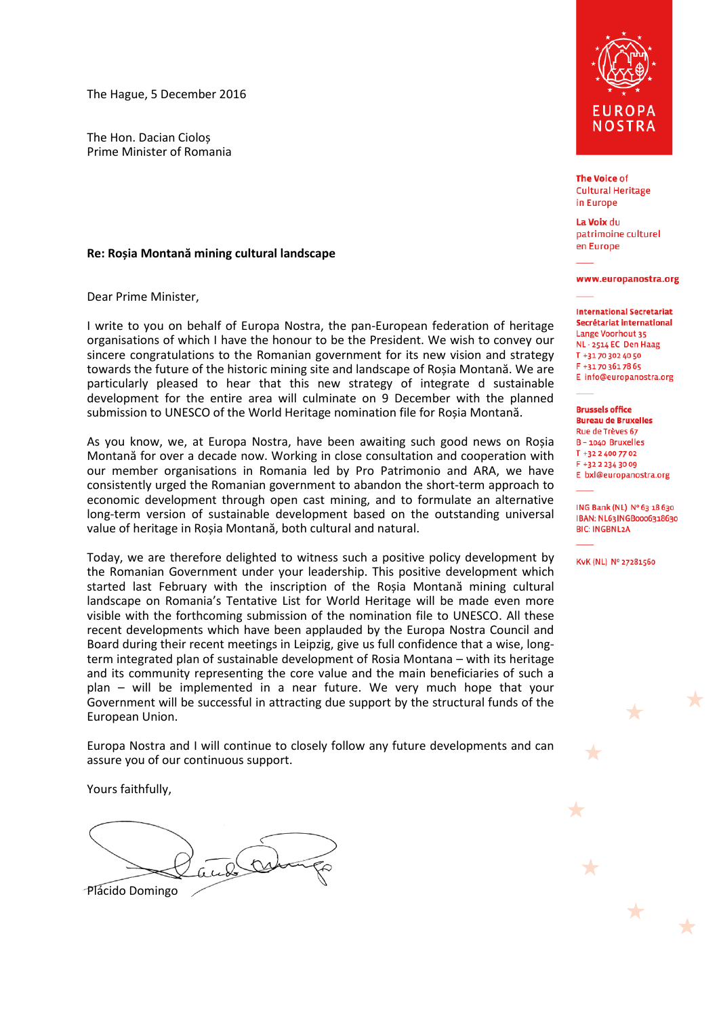The Hague, 5 December 2016

The Hon. Dacian Cioloș Prime Minister of Romania

## **Re: Roșia Montană mining cultural landscape**

Dear Prime Minister,

I write to you on behalf of Europa Nostra, the pan-European federation of heritage organisations of which I have the honour to be the President. We wish to convey our sincere congratulations to the Romanian government for its new vision and strategy towards the future of the historic mining site and landscape of Roșia Montană. We are particularly pleased to hear that this new strategy of integrate d sustainable development for the entire area will culminate on 9 December with the planned submission to UNESCO of the World Heritage nomination file for Roșia Montană.

As you know, we, at Europa Nostra, have been awaiting such good news on Roșia Montană for over a decade now. Working in close consultation and cooperation with our member organisations in Romania led by Pro Patrimonio and ARA, we have consistently urged the Romanian government to abandon the short-term approach to economic development through open cast mining, and to formulate an alternative long-term version of sustainable development based on the outstanding universal value of heritage in Roșia Montană, both cultural and natural.

Today, we are therefore delighted to witness such a positive policy development by the Romanian Government under your leadership. This positive development which started last February with the inscription of the Roșia Montană mining cultural landscape on Romania's Tentative List for World Heritage will be made even more visible with the forthcoming submission of the nomination file to UNESCO. All these recent developments which have been applauded by the Europa Nostra Council and Board during their recent meetings in Leipzig, give us full confidence that a wise, longterm integrated plan of sustainable development of Rosia Montana – with its heritage and its community representing the core value and the main beneficiaries of such a plan – will be implemented in a near future. We very much hope that your Government will be successful in attracting due support by the structural funds of the European Union.

Europa Nostra and I will continue to closely follow any future developments and can assure you of our continuous support.

Yours faithfully,

Plácido Domingo



**The Voice of Cultural Heritage** in Europe

La Voix du patrimoine culturel en Europe

## www.europanostra.org

## **International Secretariat** Secrétariat international Lange Voorhout 35 NL - 2514 EC Den Haag T +31 70 302 40 50 F +31 70 361 78 65 E info@europanostra.org

**Brussels office Bureau de Bruxelles** Rue de Trèves 67 B - 1040 Bruxelles T +32 2 400 77 02 F +32 2 234 30 09 E bxl@europanostra.org

ING Bank (NL) Nº 63 18 630 IBAN: NL63INGB0006318630 **BIC: INGBNL2A** 

 $\mathbf{r}$ 

KvK (NL) Nº 27281560